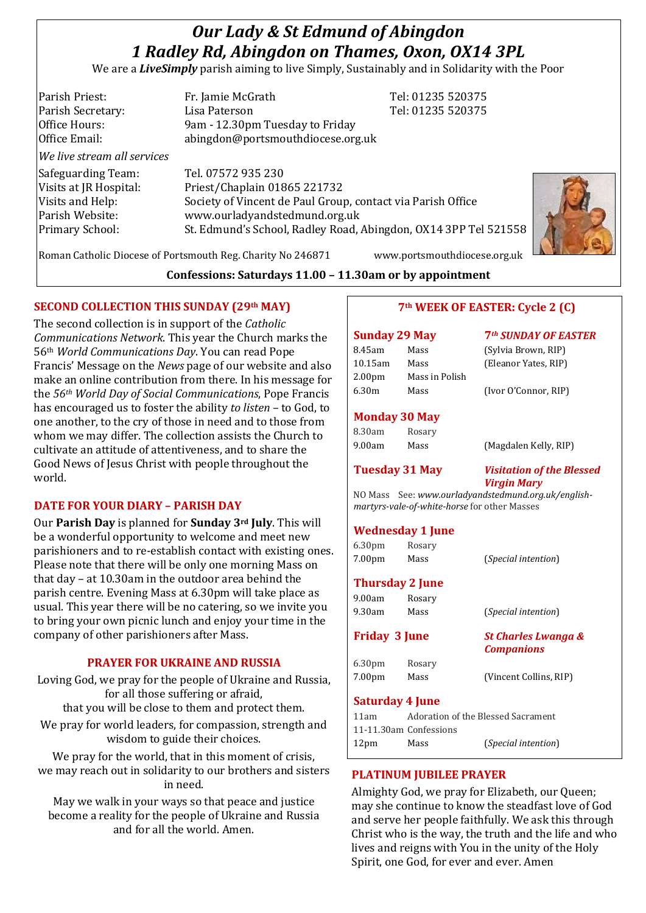# *Our Lady & St Edmund of Abingdon 1 Radley Rd, Abingdon on Thames, Oxon, OX14 3PL*

We are a *LiveSimply* parish aiming to live Simply, Sustainably and in Solidarity with the Poor

Parish Priest: Fr. Jamie McGrath Tel: 01235 520375 Parish Secretary: Tel: 01235 520375 Office Hours: 9am - 12.30pm Tuesday to Friday Office Email: abingdon@portsmouthdiocese.org.uk *We live stream all services* Safeguarding Team: Tel. 07572 935 230 Visits at JR Hospital: Priest/Chaplain 01865 221732 Visits and Help: Society of Vincent de Paul Group, contact via Parish Office Parish Website: www.ourladyandstedmund.org.uk Primary School: St. Edmund's School, Radley Road, Abingdon, OX14 3PP Tel 521558



Roman Catholic Diocese of Portsmouth Reg. Charity No 246871 www.portsmouthdiocese.org.uk

#### **Confessions: Saturdays 11.00 – 11.30am or by appointment**

#### **SECOND COLLECTION THIS SUNDAY (29th MAY)**

The second collection is in support of the *Catholic Communications Network*. This year the Church marks the 56th *World Communications Day*. You can read Pope Francis' Message on the *News* page of our website and also make an online contribution from there. In his message for the *56th World Day of Social Communications*, Pope Francis has encouraged us to foster the ability *to listen* – to God, to one another, to the cry of those in need and to those from whom we may differ. The collection assists the Church to cultivate an attitude of attentiveness, and to share the Good News of Jesus Christ with people throughout the world.

#### **DATE FOR YOUR DIARY – PARISH DAY**

Our **Parish Day** is planned for **Sunday 3rd July**. This will be a wonderful opportunity to welcome and meet new parishioners and to re-establish contact with existing ones. Please note that there will be only one morning Mass on that day – at 10.30am in the outdoor area behind the parish centre. Evening Mass at 6.30pm will take place as usual. This year there will be no catering, so we invite you to bring your own picnic lunch and enjoy your time in the company of other parishioners after Mass.

#### **PRAYER FOR UKRAINE AND RUSSIA**

Loving God, we pray for the people of Ukraine and Russia, for all those suffering or afraid, that you will be close to them and protect them.

We pray for world leaders, for compassion, strength and wisdom to guide their choices.

We pray for the world, that in this moment of crisis, we may reach out in solidarity to our brothers and sisters in need.

May we walk in your ways so that peace and justice become a reality for the people of Ukraine and Russia and for all the world. Amen.

#### **7th WEEK OF EASTER: Cycle 2 (C)**

# **Sunday 29 May 7***th SUNDAY OF EASTER* 8.45am Mass (Sylvia Brown, RIP) 10.15am Mass (Eleanor Yates, RIP) 2.00pm Mass in Polish 6.30m Mass (Ivor O'Connor, RIP)

#### **Monday 30 May**

| 8.30am | Rosary |                       |
|--------|--------|-----------------------|
| 9.00am | Mass   | (Magdalen Kelly, RIP) |

**Tuesday 31 May** *Visitation of the Blessed Virgin Mary*

NO Mass See: *www.ourladyandstedmund.org.uk/englishmartyrs-vale-of-white-horse* for other Masses

#### **Wednesday 1 June**

|                      | $\ldots$ canceaux $\ldots$ |                                                     |  |
|----------------------|----------------------------|-----------------------------------------------------|--|
| 6.30 <sub>pm</sub>   | Rosary                     |                                                     |  |
| 7.00 <sub>pm</sub>   | Mass                       | <i>(Special intention)</i>                          |  |
|                      | <b>Thursday 2 June</b>     |                                                     |  |
| 9.00am               | Rosary                     |                                                     |  |
| 9.30am               | Mass                       | <i>(Special intention)</i>                          |  |
| <b>Friday 3 June</b> |                            | <b>St Charles Lwanga &amp;</b><br><b>Companions</b> |  |
| 6.30 <sub>pm</sub>   | Rosary                     |                                                     |  |
| 7.00 <sub>pm</sub>   | Mass                       | (Vincent Collins, RIP)                              |  |
|                      | <b>Saturday 4 June</b>     |                                                     |  |
| 11am                 |                            | Adoration of the Blessed Sacrament                  |  |

11-11.30am Confessions 12pm Mass (*Special intention*)

#### **PLATINUM JUBILEE PRAYER**

Almighty God, we pray for Elizabeth, our Queen; may she continue to know the steadfast love of God and serve her people faithfully. We ask this through Christ who is the way, the truth and the life and who lives and reigns with You in the unity of the Holy Spirit, one God, for ever and ever. Amen